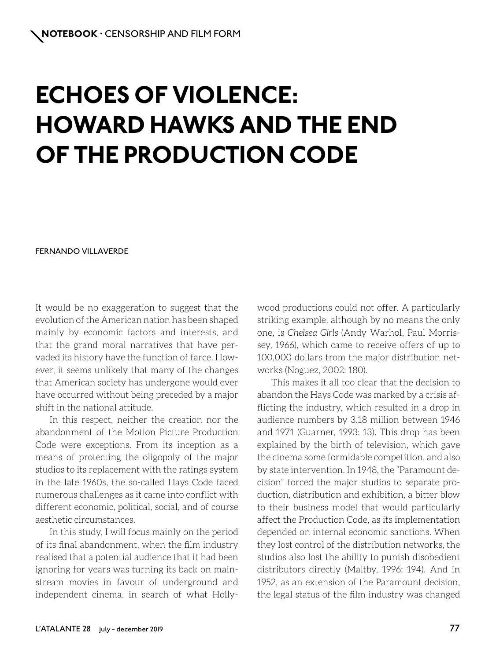# **ECHOES OF VIOLENCE: HOWARD HAWKS AND THE END OF THE PRODUCTION CODE**

### FERNANDO VILLAVERDE

It would be no exaggeration to suggest that the evolution of the American nation has been shaped mainly by economic factors and interests, and that the grand moral narratives that have pervaded its history have the function of farce. However, it seems unlikely that many of the changes that American society has undergone would ever have occurred without being preceded by a major shift in the national attitude.

In this respect, neither the creation nor the abandonment of the Motion Picture Production Code were exceptions. From its inception as a means of protecting the oligopoly of the major studios to its replacement with the ratings system in the late 1960s, the so-called Hays Code faced numerous challenges as it came into conflict with different economic, political, social, and of course aesthetic circumstances.

In this study, I will focus mainly on the period of its final abandonment, when the film industry realised that a potential audience that it had been ignoring for years was turning its back on mainstream movies in favour of underground and independent cinema, in search of what Hollywood productions could not offer. A particularly striking example, although by no means the only one, is *Chelsea Girls* (Andy Warhol, Paul Morrissey, 1966), which came to receive offers of up to 100,000 dollars from the major distribution networks (Noguez, 2002: 180).

This makes it all too clear that the decision to abandon the Hays Code was marked by a crisis afflicting the industry, which resulted in a drop in audience numbers by 3.18 million between 1946 and 1971 (Guarner, 1993: 13). This drop has been explained by the birth of television, which gave the cinema some formidable competition, and also by state intervention. In 1948, the "Paramount decision" forced the major studios to separate production, distribution and exhibition, a bitter blow to their business model that would particularly affect the Production Code, as its implementation depended on internal economic sanctions. When they lost control of the distribution networks, the studios also lost the ability to punish disobedient distributors directly (Maltby, 1996: 194). And in 1952, as an extension of the Paramount decision, the legal status of the film industry was changed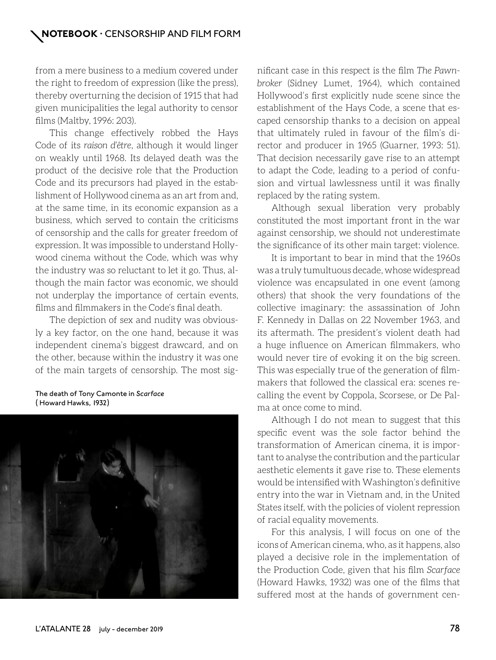from a mere business to a medium covered under the right to freedom of expression (like the press), thereby overturning the decision of 1915 that had given municipalities the legal authority to censor films (Maltby, 1996: 203).

This change effectively robbed the Hays Code of its *raison d'être*, although it would linger on weakly until 1968. Its delayed death was the product of the decisive role that the Production Code and its precursors had played in the establishment of Hollywood cinema as an art from and, at the same time, in its economic expansion as a business, which served to contain the criticisms of censorship and the calls for greater freedom of expression. It was impossible to understand Hollywood cinema without the Code, which was why the industry was so reluctant to let it go. Thus, although the main factor was economic, we should not underplay the importance of certain events, films and filmmakers in the Code's final death.

The depiction of sex and nudity was obviously a key factor, on the one hand, because it was independent cinema's biggest drawcard, and on the other, because within the industry it was one of the main targets of censorship. The most sig-

### The death of Tony Camonte in *Scarface*  ( Howard Hawks, 1932)



nificant case in this respect is the film *The Pawnbroker* (Sidney Lumet, 1964), which contained Hollywood's first explicitly nude scene since the establishment of the Hays Code, a scene that escaped censorship thanks to a decision on appeal that ultimately ruled in favour of the film's director and producer in 1965 (Guarner, 1993: 51). That decision necessarily gave rise to an attempt to adapt the Code, leading to a period of confusion and virtual lawlessness until it was finally replaced by the rating system.

Although sexual liberation very probably constituted the most important front in the war against censorship, we should not underestimate the significance of its other main target: violence.

It is important to bear in mind that the 1960s was a truly tumultuous decade, whose widespread violence was encapsulated in one event (among others) that shook the very foundations of the collective imaginary: the assassination of John F. Kennedy in Dallas on 22 November 1963, and its aftermath. The president's violent death had a huge influence on American filmmakers, who would never tire of evoking it on the big screen. This was especially true of the generation of filmmakers that followed the classical era: scenes recalling the event by Coppola, Scorsese, or De Palma at once come to mind.

Although I do not mean to suggest that this specific event was the sole factor behind the transformation of American cinema, it is important to analyse the contribution and the particular aesthetic elements it gave rise to. These elements would be intensified with Washington's definitive entry into the war in Vietnam and, in the United States itself, with the policies of violent repression of racial equality movements.

For this analysis, I will focus on one of the icons of American cinema, who, as it happens, also played a decisive role in the implementation of the Production Code, given that his film *Scarface*  (Howard Hawks, 1932) was one of the films that suffered most at the hands of government cen-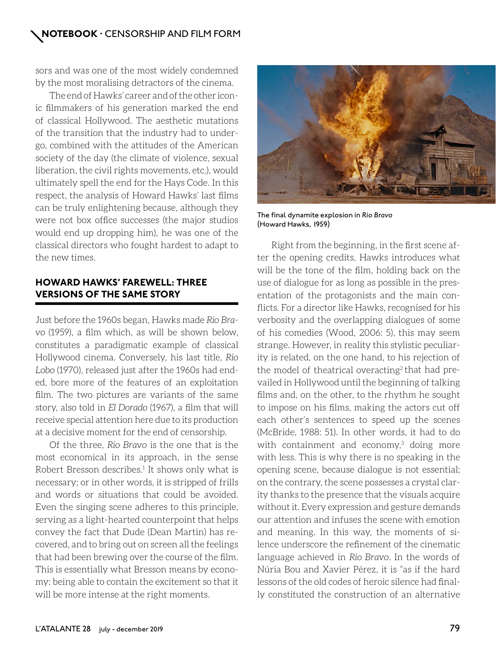sors and was one of the most widely condemned by the most moralising detractors of the cinema.

The end of Hawks' career and of the other iconic filmmakers of his generation marked the end of classical Hollywood. The aesthetic mutations of the transition that the industry had to undergo, combined with the attitudes of the American society of the day (the climate of violence, sexual liberation, the civil rights movements, etc.), would ultimately spell the end for the Hays Code. In this respect, the analysis of Howard Hawks' last films can be truly enlightening because, although they were not box office successes (the major studios would end up dropping him), he was one of the classical directors who fought hardest to adapt to the new times.

## **HOWARD HAWKS' FAREWELL: THREE VERSIONS OF THE SAME STORY**

Just before the 1960s began, Hawks made *Rio Bravo* (1959), a film which, as will be shown below, constitutes a paradigmatic example of classical Hollywood cinema. Conversely, his last title, *Rio Lobo* (1970), released just after the 1960s had ended, bore more of the features of an exploitation film. The two pictures are variants of the same story, also told in *El Dorado* (1967), a film that will receive special attention here due to its production at a decisive moment for the end of censorship.

Of the three, *Rio Bravo* is the one that is the most economical in its approach, in the sense Robert Bresson describes.<sup>1</sup> It shows only what is necessary; or in other words, it is stripped of frills and words or situations that could be avoided. Even the singing scene adheres to this principle, serving as a light-hearted counterpoint that helps convey the fact that Dude (Dean Martin) has recovered, and to bring out on screen all the feelings that had been brewing over the course of the film. This is essentially what Bresson means by economy: being able to contain the excitement so that it will be more intense at the right moments.



The final dynamite explosion in *Rio Bravo* (Howard Hawks, 1959)

Right from the beginning, in the first scene after the opening credits, Hawks introduces what will be the tone of the film, holding back on the use of dialogue for as long as possible in the presentation of the protagonists and the main conflicts. For a director like Hawks, recognised for his verbosity and the overlapping dialogues of some of his comedies (Wood, 2006: 5), this may seem strange. However, in reality this stylistic peculiarity is related, on the one hand, to his rejection of the model of theatrical overacting<sup>2</sup> that had prevailed in Hollywood until the beginning of talking films and, on the other, to the rhythm he sought to impose on his films, making the actors cut off each other's sentences to speed up the scenes (McBride, 1988: 51). In other words, it had to do with containment and economy,<sup>3</sup> doing more with less. This is why there is no speaking in the opening scene, because dialogue is not essential; on the contrary, the scene possesses a crystal clarity thanks to the presence that the visuals acquire without it. Every expression and gesture demands our attention and infuses the scene with emotion and meaning. In this way, the moments of silence underscore the refinement of the cinematic language achieved in *Rio Bravo*. In the words of Núria Bou and Xavier Pérez, it is "as if the hard lessons of the old codes of heroic silence had finally constituted the construction of an alternative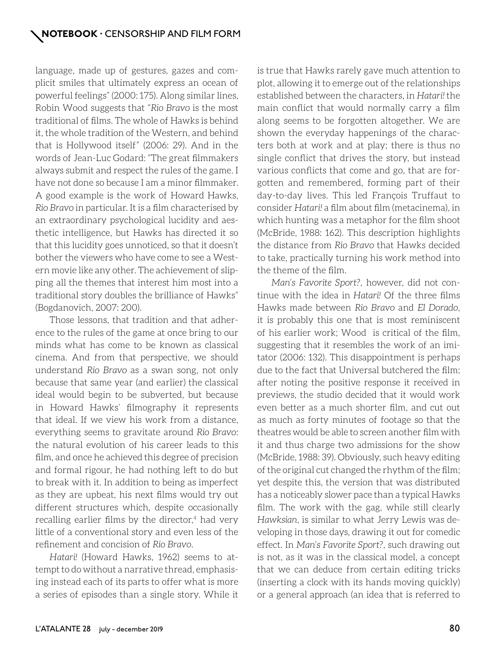language, made up of gestures, gazes and complicit smiles that ultimately express an ocean of powerful feelings" (2000: 175). Along similar lines, Robin Wood suggests that "*Rio Bravo* is the most traditional of films. The whole of Hawks is behind it, the whole tradition of the Western, and behind that is Hollywood itself" (2006: 29). And in the words of Jean-Luc Godard: "The great filmmakers always submit and respect the rules of the game. I have not done so because I am a minor filmmaker. A good example is the work of Howard Hawks, *Rio Bravo* in particular. It is a film characterised by an extraordinary psychological lucidity and aesthetic intelligence, but Hawks has directed it so that this lucidity goes unnoticed, so that it doesn't bother the viewers who have come to see a Western movie like any other. The achievement of slipping all the themes that interest him most into a traditional story doubles the brilliance of Hawks" (Bogdanovich, 2007: 200).

Those lessons, that tradition and that adherence to the rules of the game at once bring to our minds what has come to be known as classical cinema. And from that perspective, we should understand *Rio Bravo* as a swan song, not only because that same year (and earlier) the classical ideal would begin to be subverted, but because in Howard Hawks' filmography it represents that ideal. If we view his work from a distance, everything seems to gravitate around *Rio Bravo*: the natural evolution of his career leads to this film, and once he achieved this degree of precision and formal rigour, he had nothing left to do but to break with it. In addition to being as imperfect as they are upbeat, his next films would try out different structures which, despite occasionally recalling earlier films by the director,<sup>4</sup> had very little of a conventional story and even less of the refinement and concision of *Rio Bravo*.

*Hatari!* (Howard Hawks, 1962) seems to attempt to do without a narrative thread, emphasising instead each of its parts to offer what is more a series of episodes than a single story. While it is true that Hawks rarely gave much attention to plot, allowing it to emerge out of the relationships established between the characters, in *Hatari!* the main conflict that would normally carry a film along seems to be forgotten altogether. We are shown the everyday happenings of the characters both at work and at play; there is thus no single conflict that drives the story, but instead various conflicts that come and go, that are forgotten and remembered, forming part of their day-to-day lives. This led François Truffaut to consider *Hatari!* a film about film (metacinema), in which hunting was a metaphor for the film shoot (McBride, 1988: 162). This description highlights the distance from *Rio Bravo* that Hawks decided to take, practically turning his work method into the theme of the film.

*Man's Favorite Sport?*, however, did not continue with the idea in *Hatari!* Of the three films Hawks made between *Rio Bravo* and *El Dorado*, it is probably this one that is most reminiscent of his earlier work; Wood is critical of the film, suggesting that it resembles the work of an imitator (2006: 132). This disappointment is perhaps due to the fact that Universal butchered the film; after noting the positive response it received in previews, the studio decided that it would work even better as a much shorter film, and cut out as much as forty minutes of footage so that the theatres would be able to screen another film with it and thus charge two admissions for the show (McBride, 1988: 39). Obviously, such heavy editing of the original cut changed the rhythm of the film; yet despite this, the version that was distributed has a noticeably slower pace than a typical Hawks film. The work with the gag, while still clearly *Hawksian*, is similar to what Jerry Lewis was developing in those days, drawing it out for comedic effect. In *Man's Favorite Sport?*, such drawing out is not, as it was in the classical model, a concept that we can deduce from certain editing tricks (inserting a clock with its hands moving quickly) or a general approach (an idea that is referred to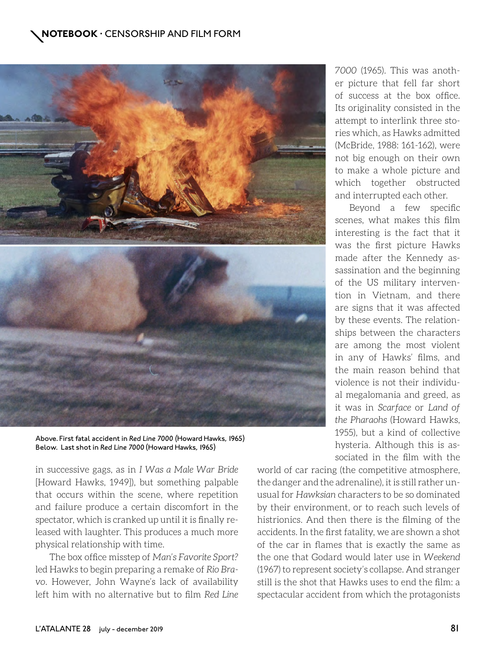

Above. First fatal accident in *Red Line 7000 (*Howard Hawks, 1965) Below. Last shot in *Red Line 7000* (Howard Hawks, 1965)

in successive gags, as in *I Was a Male War Bride* [Howard Hawks, 1949]), but something palpable that occurs within the scene, where repetition and failure produce a certain discomfort in the spectator, which is cranked up until it is finally released with laughter. This produces a much more physical relationship with time.

The box office misstep of *Man's Favorite Sport?* led Hawks to begin preparing a remake of *Rio Bravo*. However, John Wayne's lack of availability left him with no alternative but to film *Red Line*  *7000* (1965). This was another picture that fell far short of success at the box office. Its originality consisted in the attempt to interlink three stories which, as Hawks admitted (McBride, 1988: 161-162), were not big enough on their own to make a whole picture and which together obstructed and interrupted each other.

Beyond a few specific scenes, what makes this film interesting is the fact that it was the first picture Hawks made after the Kennedy assassination and the beginning of the US military intervention in Vietnam, and there are signs that it was affected by these events. The relationships between the characters are among the most violent in any of Hawks' films, and the main reason behind that violence is not their individual megalomania and greed, as it was in *Scarface* or *Land of the Pharaohs* (Howard Hawks, 1955), but a kind of collective hysteria. Although this is associated in the film with the

world of car racing (the competitive atmosphere, the danger and the adrenaline), it is still rather unusual for *Hawksian* characters to be so dominated by their environment, or to reach such levels of histrionics. And then there is the filming of the accidents. In the first fatality, we are shown a shot of the car in flames that is exactly the same as the one that Godard would later use in *Weekend*  (1967) to represent society's collapse. And stranger still is the shot that Hawks uses to end the film: a spectacular accident from which the protagonists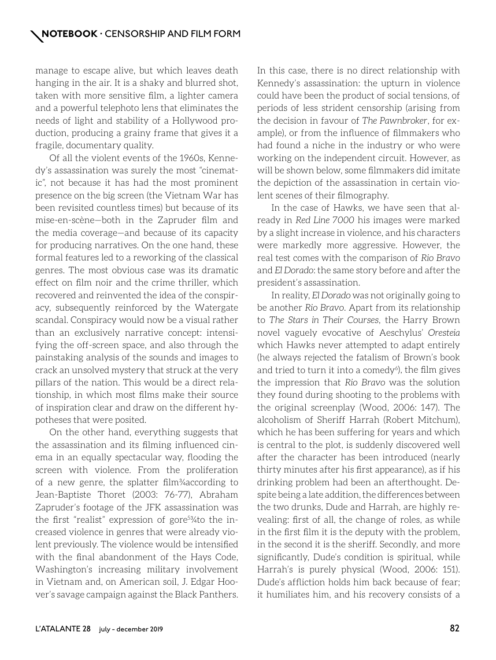manage to escape alive, but which leaves death hanging in the air. It is a shaky and blurred shot, taken with more sensitive film, a lighter camera and a powerful telephoto lens that eliminates the needs of light and stability of a Hollywood production, producing a grainy frame that gives it a fragile, documentary quality.

Of all the violent events of the 1960s, Kennedy's assassination was surely the most "cinematic", not because it has had the most prominent presence on the big screen (the Vietnam War has been revisited countless times) but because of its mise-en-scène—both in the Zapruder film and the media coverage—and because of its capacity for producing narratives. On the one hand, these formal features led to a reworking of the classical genres. The most obvious case was its dramatic effect on film noir and the crime thriller, which recovered and reinvented the idea of the conspiracy, subsequently reinforced by the Watergate scandal. Conspiracy would now be a visual rather than an exclusively narrative concept: intensifying the off-screen space, and also through the painstaking analysis of the sounds and images to crack an unsolved mystery that struck at the very pillars of the nation. This would be a direct relationship, in which most films make their source of inspiration clear and draw on the different hypotheses that were posited.

On the other hand, everything suggests that the assassination and its filming influenced cinema in an equally spectacular way, flooding the screen with violence. From the proliferation of a new genre, the splatter film¾according to Jean-Baptiste Thoret (2003: 76-77), Abraham Zapruder's footage of the JFK assassination was the first "realist" expression of gore5 ¾to the increased violence in genres that were already violent previously. The violence would be intensified with the final abandonment of the Hays Code, Washington's increasing military involvement in Vietnam and, on American soil, J. Edgar Hoover's savage campaign against the Black Panthers. In this case, there is no direct relationship with Kennedy's assassination: the upturn in violence could have been the product of social tensions, of periods of less strident censorship (arising from the decision in favour of *The Pawnbroker*, for example), or from the influence of filmmakers who had found a niche in the industry or who were working on the independent circuit. However, as will be shown below, some filmmakers did imitate the depiction of the assassination in certain violent scenes of their filmography.

In the case of Hawks, we have seen that already in *Red Line 7000* his images were marked by a slight increase in violence, and his characters were markedly more aggressive. However, the real test comes with the comparison of *Rio Bravo*  and *El Dorado*: the same story before and after the president's assassination.

In reality, *El Dorado* was not originally going to be another *Rio Bravo*. Apart from its relationship to *The Stars in Their Courses*, the Harry Brown novel vaguely evocative of Aeschylus' *Oresteia*  which Hawks never attempted to adapt entirely (he always rejected the fatalism of Brown's book and tried to turn it into a comedy $6$ ), the film gives the impression that *Rio Bravo* was the solution they found during shooting to the problems with the original screenplay (Wood, 2006: 147). The alcoholism of Sheriff Harrah (Robert Mitchum), which he has been suffering for years and which is central to the plot, is suddenly discovered well after the character has been introduced (nearly thirty minutes after his first appearance), as if his drinking problem had been an afterthought. Despite being a late addition, the differences between the two drunks, Dude and Harrah, are highly revealing: first of all, the change of roles, as while in the first film it is the deputy with the problem, in the second it is the sheriff. Secondly, and more significantly, Dude's condition is spiritual, while Harrah's is purely physical (Wood, 2006: 151). Dude's affliction holds him back because of fear; it humiliates him, and his recovery consists of a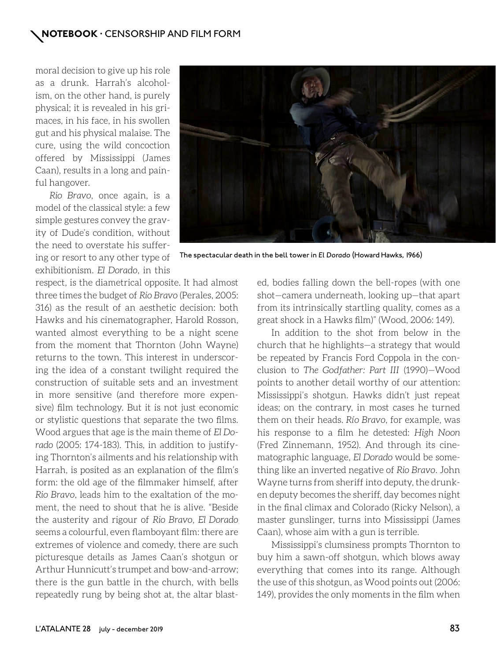moral decision to give up his role as a drunk. Harrah's alcoholism, on the other hand, is purely physical; it is revealed in his grimaces, in his face, in his swollen gut and his physical malaise. The cure, using the wild concoction offered by Mississippi (James Caan), results in a long and painful hangover.

*Rio Bravo*, once again, is a model of the classical style: a few simple gestures convey the gravity of Dude's condition, without the need to overstate his suffering or resort to any other type of exhibitionism. *El Dorado*, in this



The spectacular death in the bell tower in *El Dorado* (Howard Hawks, 1966)

respect, is the diametrical opposite. It had almost three times the budget of *Rio Bravo* (Perales, 2005: 316) as the result of an aesthetic decision: both Hawks and his cinematographer, Harold Rosson, wanted almost everything to be a night scene from the moment that Thornton (John Wayne) returns to the town. This interest in underscoring the idea of a constant twilight required the construction of suitable sets and an investment in more sensitive (and therefore more expensive) film technology. But it is not just economic or stylistic questions that separate the two films. Wood argues that age is the main theme of *El Dorado* (2005: 174-183). This, in addition to justifying Thornton's ailments and his relationship with Harrah, is posited as an explanation of the film's form: the old age of the filmmaker himself, after *Rio Bravo*, leads him to the exaltation of the moment, the need to shout that he is alive. "Beside the austerity and rigour of *Rio Bravo*, *El Dorado*  seems a colourful, even flamboyant film: there are extremes of violence and comedy, there are such picturesque details as James Caan's shotgun or Arthur Hunnicutt's trumpet and bow-and-arrow; there is the gun battle in the church, with bells repeatedly rung by being shot at, the altar blast-

ed, bodies falling down the bell-ropes (with one shot—camera underneath, looking up—that apart from its intrinsically startling quality, comes as a great shock in a Hawks film)" (Wood, 2006: 149).

In addition to the shot from below in the church that he highlights—a strategy that would be repeated by Francis Ford Coppola in the conclusion to *The Godfather: Part III* (1990)—Wood points to another detail worthy of our attention: Mississippi's shotgun. Hawks didn't just repeat ideas; on the contrary, in most cases he turned them on their heads. *Río Bravo*, for example, was his response to a film he detested: *High Noon*  (Fred Zinnemann, 1952). And through its cinematographic language, *El Dorado* would be something like an inverted negative of *Rio Bravo*. John Wayne turns from sheriff into deputy, the drunken deputy becomes the sheriff, day becomes night in the final climax and Colorado (Ricky Nelson), a master gunslinger, turns into Mississippi (James Caan), whose aim with a gun is terrible.

Mississippi's clumsiness prompts Thornton to buy him a sawn-off shotgun, which blows away everything that comes into its range. Although the use of this shotgun, as Wood points out (2006: 149), provides the only moments in the film when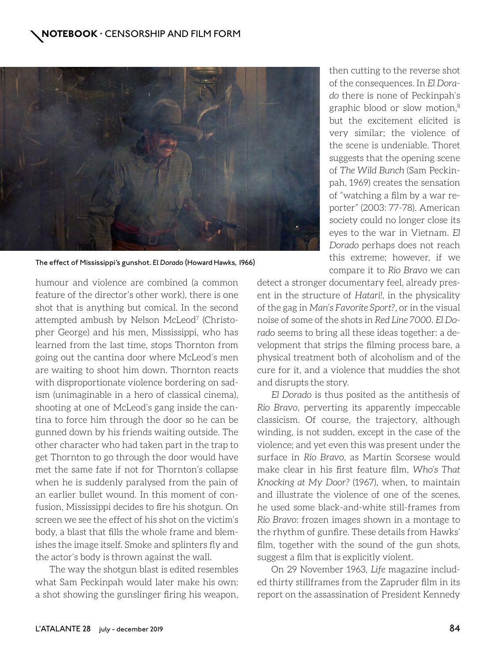

The effect of Mississippi's gunshot. *El Dorado* (Howard Hawks, 1966)

humour and violence are combined (a common feature of the director's other work), there is one shot that is anything but comical. In the second attempted ambush by Nelson McLeod<sup>7</sup> (Christopher George) and his men, Mississippi, who has learned from the last time, stops Thornton from going out the cantina door where McLeod's men are waiting to shoot him down. Thornton reacts with disproportionate violence bordering on sadism (unimaginable in a hero of classical cinema), shooting at one of McLeod's gang inside the cantina to force him through the door so he can be gunned down by his friends waiting outside. The other character who had taken part in the trap to get Thornton to go through the door would have met the same fate if not for Thornton's collapse when he is suddenly paralysed from the pain of an earlier bullet wound. In this moment of confusion, Mississippi decides to fire his shotgun. On screen we see the effect of his shot on the victim's body, a blast that fills the whole frame and blemishes the image itself. Smoke and splinters fly and the actor's body is thrown against the wall.

The way the shotgun blast is edited resembles what Sam Peckinpah would later make his own: a shot showing the gunslinger firing his weapon, then cutting to the reverse shot of the consequences. In *El Dorado* there is none of Peckinpah's graphic blood or slow motion,8 but the excitement elicited is very similar; the violence of the scene is undeniable. Thoret suggests that the opening scene of *The Wild Bunch* (Sam Peckinpah, 1969) creates the sensation of "watching a film by a war reporter" (2003: 77-78). American society could no longer close its eyes to the war in Vietnam. *El Dorado* perhaps does not reach this extreme; however, if we compare it to *Rio Bravo* we can

detect a stronger documentary feel, already present in the structure of *Hatari!*, in the physicality of the gag in *Man's Favorite Sport?*, or in the visual noise of some of the shots in *Red Line 7000*. *El Dorado* seems to bring all these ideas together: a development that strips the filming process bare, a physical treatment both of alcoholism and of the cure for it, and a violence that muddies the shot and disrupts the story.

*El Dorado* is thus posited as the antithesis of *Rio Bravo*, perverting its apparently impeccable classicism. Of course, the trajectory, although winding, is not sudden, except in the case of the violence; and yet even this was present under the surface in *Rio Bravo*, as Martin Scorsese would make clear in his first feature film, *Who's That Knocking at My Door?* (1967), when, to maintain and illustrate the violence of one of the scenes, he used some black-and-white still-frames from *Rio Bravo*: frozen images shown in a montage to the rhythm of gunfire. These details from Hawks' film, together with the sound of the gun shots, suggest a film that is explicitly violent.

On 29 November 1963, *Life* magazine included thirty stillframes from the Zapruder film in its report on the assassination of President Kennedy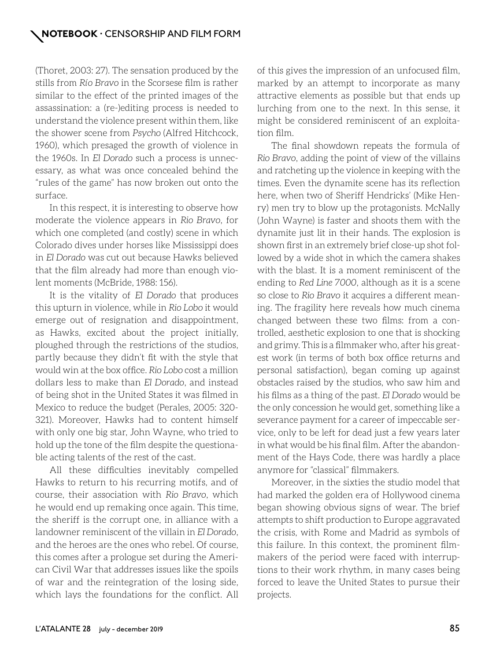(Thoret, 2003: 27). The sensation produced by the stills from *Río Bravo* in the Scorsese film is rather similar to the effect of the printed images of the assassination: a (re-)editing process is needed to understand the violence present within them, like the shower scene from *Psycho* (Alfred Hitchcock, 1960), which presaged the growth of violence in the 1960s. In *El Dorado* such a process is unnecessary, as what was once concealed behind the "rules of the game" has now broken out onto the surface.

In this respect, it is interesting to observe how moderate the violence appears in *Rio Bravo*, for which one completed (and costly) scene in which Colorado dives under horses like Mississippi does in *El Dorado* was cut out because Hawks believed that the film already had more than enough violent moments (McBride, 1988: 156).

It is the vitality of *El Dorado* that produces this upturn in violence, while in *Rio Lobo* it would emerge out of resignation and disappointment, as Hawks, excited about the project initially, ploughed through the restrictions of the studios, partly because they didn't fit with the style that would win at the box office. *Rio Lobo* cost a million dollars less to make than *El Dorado*, and instead of being shot in the United States it was filmed in Mexico to reduce the budget (Perales, 2005: 320- 321). Moreover, Hawks had to content himself with only one big star, John Wayne, who tried to hold up the tone of the film despite the questionable acting talents of the rest of the cast.

All these difficulties inevitably compelled Hawks to return to his recurring motifs, and of course, their association with *Rio Bravo*, which he would end up remaking once again. This time, the sheriff is the corrupt one, in alliance with a landowner reminiscent of the villain in *El Dorado*, and the heroes are the ones who rebel. Of course, this comes after a prologue set during the American Civil War that addresses issues like the spoils of war and the reintegration of the losing side, which lays the foundations for the conflict. All of this gives the impression of an unfocused film, marked by an attempt to incorporate as many attractive elements as possible but that ends up lurching from one to the next. In this sense, it might be considered reminiscent of an exploitation film.

The final showdown repeats the formula of *Rio Bravo*, adding the point of view of the villains and ratcheting up the violence in keeping with the times. Even the dynamite scene has its reflection here, when two of Sheriff Hendricks' (Mike Henry) men try to blow up the protagonists. McNally (John Wayne) is faster and shoots them with the dynamite just lit in their hands. The explosion is shown first in an extremely brief close-up shot followed by a wide shot in which the camera shakes with the blast. It is a moment reminiscent of the ending to *Red Line 7000*, although as it is a scene so close to *Rio Bravo* it acquires a different meaning. The fragility here reveals how much cinema changed between these two films: from a controlled, aesthetic explosion to one that is shocking and grimy. This is a filmmaker who, after his greatest work (in terms of both box office returns and personal satisfaction), began coming up against obstacles raised by the studios, who saw him and his films as a thing of the past. *El Dorado* would be the only concession he would get, something like a severance payment for a career of impeccable service, only to be left for dead just a few years later in what would be his final film. After the abandonment of the Hays Code, there was hardly a place anymore for "classical" filmmakers.

Moreover, in the sixties the studio model that had marked the golden era of Hollywood cinema began showing obvious signs of wear. The brief attempts to shift production to Europe aggravated the crisis, with Rome and Madrid as symbols of this failure. In this context, the prominent filmmakers of the period were faced with interruptions to their work rhythm, in many cases being forced to leave the United States to pursue their projects.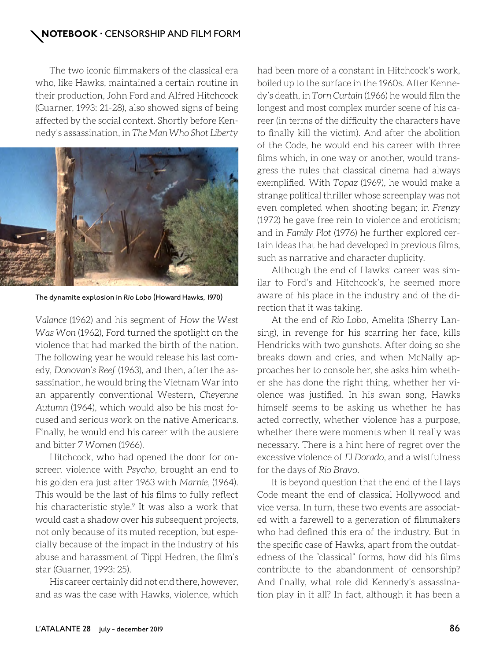The two iconic filmmakers of the classical era who, like Hawks, maintained a certain routine in their production, John Ford and Alfred Hitchcock (Guarner, 1993: 21-28), also showed signs of being affected by the social context. Shortly before Kennedy's assassination, in *The Man Who Shot Liberty* 



The dynamite explosion in *Rio Lobo* (Howard Hawks, 1970)

*Valance* (1962) and his segment of *How the West Was Won* (1962), Ford turned the spotlight on the violence that had marked the birth of the nation. The following year he would release his last comedy, *Donovan's Reef* (1963), and then, after the assassination, he would bring the Vietnam War into an apparently conventional Western, *Cheyenne Autumn* (1964), which would also be his most focused and serious work on the native Americans. Finally, he would end his career with the austere and bitter *7 Women* (1966).

Hitchcock, who had opened the door for onscreen violence with *Psycho*, brought an end to his golden era just after 1963 with *Marnie,* (1964). This would be the last of his films to fully reflect his characteristic style.<sup>9</sup> It was also a work that would cast a shadow over his subsequent projects, not only because of its muted reception, but especially because of the impact in the industry of his abuse and harassment of Tippi Hedren, the film's star (Guarner, 1993: 25).

His career certainly did not end there, however, and as was the case with Hawks, violence, which

had been more of a constant in Hitchcock's work, boiled up to the surface in the 1960s. After Kennedy's death, in *Torn Curtain* (1966) he would film the longest and most complex murder scene of his career (in terms of the difficulty the characters have to finally kill the victim). And after the abolition of the Code, he would end his career with three films which, in one way or another, would transgress the rules that classical cinema had always exemplified. With *Topaz* (1969), he would make a strange political thriller whose screenplay was not even completed when shooting began; in *Frenzy*  (1972) he gave free rein to violence and eroticism; and in *Family Plot* (1976) he further explored certain ideas that he had developed in previous films, such as narrative and character duplicity.

Although the end of Hawks' career was similar to Ford's and Hitchcock's, he seemed more aware of his place in the industry and of the direction that it was taking.

At the end of *Rio Lobo*, Amelita (Sherry Lansing), in revenge for his scarring her face, kills Hendricks with two gunshots. After doing so she breaks down and cries, and when McNally approaches her to console her, she asks him whether she has done the right thing, whether her violence was justified. In his swan song, Hawks himself seems to be asking us whether he has acted correctly, whether violence has a purpose, whether there were moments when it really was necessary. There is a hint here of regret over the excessive violence of *El Dorado*, and a wistfulness for the days of *Rio Bravo*.

It is beyond question that the end of the Hays Code meant the end of classical Hollywood and vice versa. In turn, these two events are associated with a farewell to a generation of filmmakers who had defined this era of the industry. But in the specific case of Hawks, apart from the outdatedness of the "classical" forms, how did his films contribute to the abandonment of censorship? And finally, what role did Kennedy's assassination play in it all? In fact, although it has been a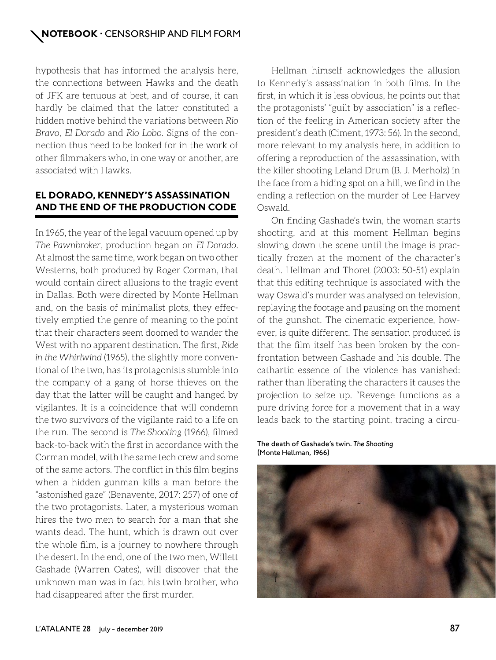hypothesis that has informed the analysis here, the connections between Hawks and the death of JFK are tenuous at best, and of course, it can hardly be claimed that the latter constituted a hidden motive behind the variations between *Rio Bravo*, *El Dorado* and *Rio Lobo*. Signs of the connection thus need to be looked for in the work of other filmmakers who, in one way or another, are associated with Hawks.

# **EL DORADO, KENNEDY'S ASSASSINATION AND THE END OF THE PRODUCTION CODE**

In 1965, the year of the legal vacuum opened up by *The Pawnbroker*, production began on *El Dorado*. At almost the same time, work began on two other Westerns, both produced by Roger Corman, that would contain direct allusions to the tragic event in Dallas. Both were directed by Monte Hellman and, on the basis of minimalist plots, they effectively emptied the genre of meaning to the point that their characters seem doomed to wander the West with no apparent destination. The first, *Ride in the Whirlwind* (1965), the slightly more conventional of the two, has its protagonists stumble into the company of a gang of horse thieves on the day that the latter will be caught and hanged by vigilantes. It is a coincidence that will condemn the two survivors of the vigilante raid to a life on the run. The second is *The Shooting* (1966), filmed back-to-back with the first in accordance with the Corman model, with the same tech crew and some of the same actors. The conflict in this film begins when a hidden gunman kills a man before the "astonished gaze" (Benavente, 2017: 257) of one of the two protagonists. Later, a mysterious woman hires the two men to search for a man that she wants dead. The hunt, which is drawn out over the whole film, is a journey to nowhere through the desert. In the end, one of the two men, Willett Gashade (Warren Oates), will discover that the unknown man was in fact his twin brother, who had disappeared after the first murder.

Hellman himself acknowledges the allusion to Kennedy's assassination in both films. In the first, in which it is less obvious, he points out that the protagonists' "guilt by association" is a reflection of the feeling in American society after the president's death (Ciment, 1973: 56). In the second, more relevant to my analysis here, in addition to offering a reproduction of the assassination, with the killer shooting Leland Drum (B. J. Merholz) in the face from a hiding spot on a hill, we find in the ending a reflection on the murder of Lee Harvey Oswald.

On finding Gashade's twin, the woman starts shooting, and at this moment Hellman begins slowing down the scene until the image is practically frozen at the moment of the character's death. Hellman and Thoret (2003: 50-51) explain that this editing technique is associated with the way Oswald's murder was analysed on television, replaying the footage and pausing on the moment of the gunshot. The cinematic experience, however, is quite different. The sensation produced is that the film itself has been broken by the confrontation between Gashade and his double. The cathartic essence of the violence has vanished: rather than liberating the characters it causes the projection to seize up. "Revenge functions as a pure driving force for a movement that in a way leads back to the starting point, tracing a circu-

The death of Gashade's twin. *The Shooting* (Monte Hellman, 1966)

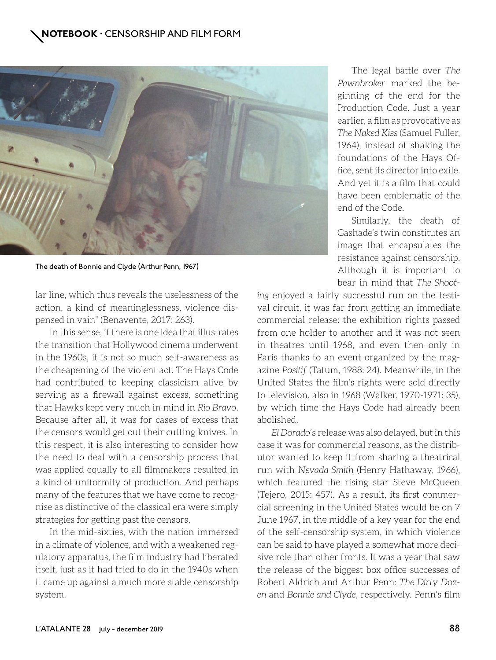

The death of Bonnie and Clyde (Arthur Penn, 1967)

lar line, which thus reveals the uselessness of the action, a kind of meaninglessness, violence dispensed in vain" (Benavente, 2017: 263).

In this sense, if there is one idea that illustrates the transition that Hollywood cinema underwent in the 1960s, it is not so much self-awareness as the cheapening of the violent act. The Hays Code had contributed to keeping classicism alive by serving as a firewall against excess, something that Hawks kept very much in mind in *Rio Bravo*. Because after all, it was for cases of excess that the censors would get out their cutting knives. In this respect, it is also interesting to consider how the need to deal with a censorship process that was applied equally to all filmmakers resulted in a kind of uniformity of production. And perhaps many of the features that we have come to recognise as distinctive of the classical era were simply strategies for getting past the censors.

In the mid-sixties, with the nation immersed in a climate of violence, and with a weakened regulatory apparatus, the film industry had liberated itself, just as it had tried to do in the 1940s when it came up against a much more stable censorship system.

The legal battle over *The Pawnbroker* marked the beginning of the end for the Production Code. Just a year earlier, a film as provocative as *The Naked Kiss* (Samuel Fuller, 1964), instead of shaking the foundations of the Hays Office, sent its director into exile. And yet it is a film that could have been emblematic of the end of the Code.

Similarly, the death of Gashade's twin constitutes an image that encapsulates the resistance against censorship. Although it is important to bear in mind that *The Shoot-*

*ing* enjoyed a fairly successful run on the festival circuit, it was far from getting an immediate commercial release: the exhibition rights passed from one holder to another and it was not seen in theatres until 1968, and even then only in Paris thanks to an event organized by the magazine *Positif* (Tatum, 1988: 24). Meanwhile, in the United States the film's rights were sold directly to television, also in 1968 (Walker, 1970-1971: 35), by which time the Hays Code had already been abolished.

*El Dorado*'s release was also delayed, but in this case it was for commercial reasons, as the distributor wanted to keep it from sharing a theatrical run with *Nevada Smith* (Henry Hathaway, 1966), which featured the rising star Steve McQueen (Tejero, 2015: 457). As a result, its first commercial screening in the United States would be on 7 June 1967, in the middle of a key year for the end of the self-censorship system, in which violence can be said to have played a somewhat more decisive role than other fronts. It was a year that saw the release of the biggest box office successes of Robert Aldrich and Arthur Penn: *The Dirty Dozen* and *Bonnie and Clyde*, respectively. Penn's film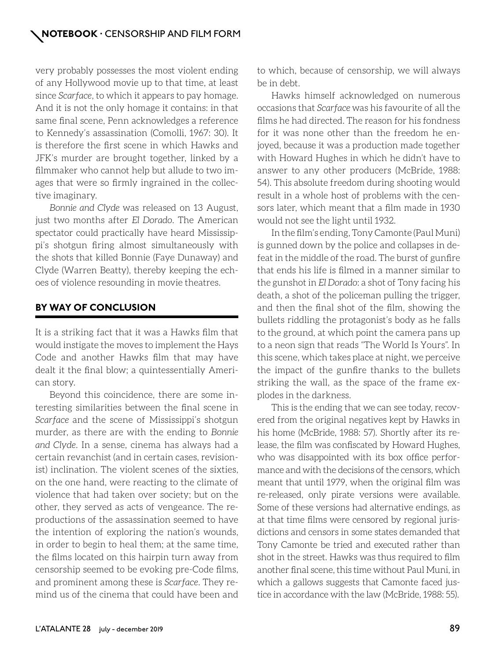very probably possesses the most violent ending of any Hollywood movie up to that time, at least since *Scarface*, to which it appears to pay homage. And it is not the only homage it contains: in that same final scene, Penn acknowledges a reference to Kennedy's assassination (Comolli, 1967: 30). It is therefore the first scene in which Hawks and JFK's murder are brought together, linked by a filmmaker who cannot help but allude to two images that were so firmly ingrained in the collective imaginary.

*Bonnie and Clyde* was released on 13 August, just two months after *El Dorado*. The American spectator could practically have heard Mississippi's shotgun firing almost simultaneously with the shots that killed Bonnie (Faye Dunaway) and Clyde (Warren Beatty), thereby keeping the echoes of violence resounding in movie theatres.

## **BY WAY OF CONCLUSION**

It is a striking fact that it was a Hawks film that would instigate the moves to implement the Hays Code and another Hawks film that may have dealt it the final blow; a quintessentially American story.

Beyond this coincidence, there are some interesting similarities between the final scene in *Scarface* and the scene of Mississippi's shotgun murder, as there are with the ending to *Bonnie and Clyde*. In a sense, cinema has always had a certain revanchist (and in certain cases, revisionist) inclination. The violent scenes of the sixties, on the one hand, were reacting to the climate of violence that had taken over society; but on the other, they served as acts of vengeance. The reproductions of the assassination seemed to have the intention of exploring the nation's wounds, in order to begin to heal them; at the same time, the films located on this hairpin turn away from censorship seemed to be evoking pre-Code films, and prominent among these is *Scarface*. They remind us of the cinema that could have been and

to which, because of censorship, we will always be in debt.

Hawks himself acknowledged on numerous occasions that *Scarface* was his favourite of all the films he had directed. The reason for his fondness for it was none other than the freedom he enjoyed, because it was a production made together with Howard Hughes in which he didn't have to answer to any other producers (McBride, 1988: 54). This absolute freedom during shooting would result in a whole host of problems with the censors later, which meant that a film made in 1930 would not see the light until 1932.

In the film's ending, Tony Camonte (Paul Muni) is gunned down by the police and collapses in defeat in the middle of the road. The burst of gunfire that ends his life is filmed in a manner similar to the gunshot in *El Dorado*: a shot of Tony facing his death, a shot of the policeman pulling the trigger, and then the final shot of the film, showing the bullets riddling the protagonist's body as he falls to the ground, at which point the camera pans up to a neon sign that reads "The World Is Yours". In this scene, which takes place at night, we perceive the impact of the gunfire thanks to the bullets striking the wall, as the space of the frame explodes in the darkness.

This is the ending that we can see today, recovered from the original negatives kept by Hawks in his home (McBride, 1988: 57). Shortly after its release, the film was confiscated by Howard Hughes, who was disappointed with its box office performance and with the decisions of the censors, which meant that until 1979, when the original film was re-released, only pirate versions were available. Some of these versions had alternative endings, as at that time films were censored by regional jurisdictions and censors in some states demanded that Tony Camonte be tried and executed rather than shot in the street. Hawks was thus required to film another final scene, this time without Paul Muni, in which a gallows suggests that Camonte faced justice in accordance with the law (McBride, 1988: 55).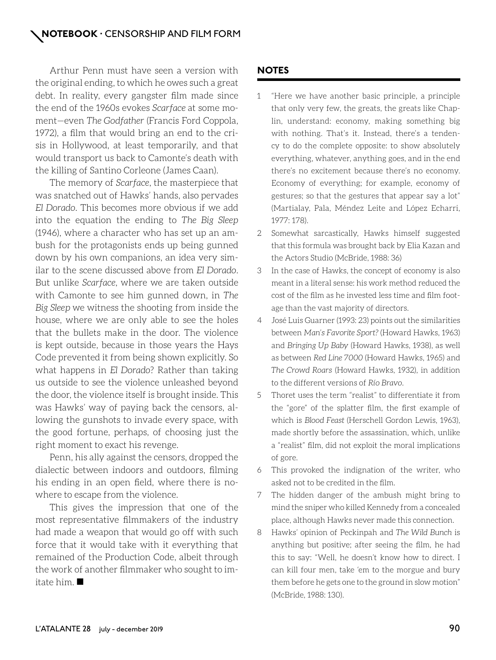Arthur Penn must have seen a version with the original ending, to which he owes such a great debt. In reality, every gangster film made since the end of the 1960s evokes *Scarface* at some moment—even *The Godfather* (Francis Ford Coppola, 1972), a film that would bring an end to the crisis in Hollywood, at least temporarily, and that would transport us back to Camonte's death with the killing of Santino Corleone (James Caan).

The memory of *Scarface*, the masterpiece that was snatched out of Hawks' hands, also pervades *El Dorado*. This becomes more obvious if we add into the equation the ending to *The Big Sleep*  (1946), where a character who has set up an ambush for the protagonists ends up being gunned down by his own companions, an idea very similar to the scene discussed above from *El Dorado*. But unlike *Scarface*, where we are taken outside with Camonte to see him gunned down, in *The Big Sleep* we witness the shooting from inside the house, where we are only able to see the holes that the bullets make in the door. The violence is kept outside, because in those years the Hays Code prevented it from being shown explicitly. So what happens in *El Dorado*? Rather than taking us outside to see the violence unleashed beyond the door, the violence itself is brought inside. This was Hawks' way of paying back the censors, allowing the gunshots to invade every space, with the good fortune, perhaps, of choosing just the right moment to exact his revenge.

Penn, his ally against the censors, dropped the dialectic between indoors and outdoors, filming his ending in an open field, where there is nowhere to escape from the violence.

This gives the impression that one of the most representative filmmakers of the industry had made a weapon that would go off with such force that it would take with it everything that remained of the Production Code, albeit through the work of another filmmaker who sought to imitate him.

## **NOTES**

- 1 "Here we have another basic principle, a principle that only very few, the greats, the greats like Chaplin, understand: economy, making something big with nothing. That's it. Instead, there's a tendency to do the complete opposite: to show absolutely everything, whatever, anything goes, and in the end there's no excitement because there's no economy. Economy of everything; for example, economy of gestures; so that the gestures that appear say a lot" (Martialay, Pala, Méndez Leite and López Echarri, 1977: 178).
- 2 Somewhat sarcastically, Hawks himself suggested that this formula was brought back by Elia Kazan and the Actors Studio (McBride, 1988: 36)
- 3 In the case of Hawks, the concept of economy is also meant in a literal sense: his work method reduced the cost of the film as he invested less time and film footage than the vast majority of directors.
- 4 José Luis Guarner (1993: 23) points out the similarities between *Man's Favorite Sport?* (Howard Hawks, 1963) and *Bringing Up Baby* (Howard Hawks, 1938), as well as between *Red Line 7000* (Howard Hawks, 1965) and *The Crowd Roars* (Howard Hawks, 1932), in addition to the different versions of *Río Bravo.*
- 5 Thoret uses the term "realist" to differentiate it from the "gore" of the splatter film, the first example of which is *Blood Feast* (Herschell Gordon Lewis, 1963), made shortly before the assassination, which, unlike a "realist" film, did not exploit the moral implications of gore.
- 6 This provoked the indignation of the writer, who asked not to be credited in the film.
- 7 The hidden danger of the ambush might bring to mind the sniper who killed Kennedy from a concealed place, although Hawks never made this connection.
- 8 Hawks' opinion of Peckinpah and *The Wild Bunch* is anything but positive; after seeing the film, he had this to say: "Well, he doesn't know how to direct. I can kill four men, take 'em to the morgue and bury them before he gets one to the ground in slow motion" (McBride, 1988: 130).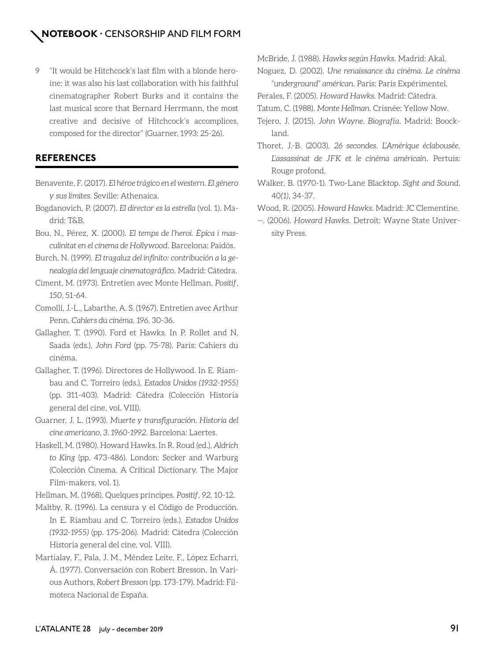9 "It would be Hitchcock's last film with a blonde heroine; it was also his last collaboration with his faithful cinematographer Robert Burks and it contains the last musical score that Bernard Herrmann, the most creative and decisive of Hitchcock's accomplices, composed for the director" (Guarner, 1993: 25-26).

## **REFERENCES**

- Benavente, F. (2017). *El héroe trágico en el western. El género y sus límites*. Seville: Athenaica.
- Bogdanovich, P. (2007). *El director es la estrella* (vol. 1). Madrid: T&B.
- Bou, N., Pérez, X. (2000). *El temps de l'heroi. Èpica i masculinitat en el cinema de Hollywood*. Barcelona: Paidós.
- Burch, N. (1999). *El tragaluz del infinito: contribución a la genealogía del lenguaje cinematográfico*. Madrid: Cátedra.
- Ciment, M. (1973). Entretien avec Monte Hellman. *Positif*, *150*, 51-64.
- Comolli, J.-L., Labarthe, A. S. (1967). Entretien avec Arthur Penn. *Cahiers du cinéma*, *196*, 30-36.
- Gallagher, T. (1990). Ford et Hawks. In P. Rollet and N. Saada (eds.), *John Ford* (pp. 75-78). Paris: Cahiers du cinéma.
- Gallagher, T. (1996). Directores de Hollywood. In E. Riambau and C. Torreiro (eds.), *Estados Unidos (1932-1955)*  (pp. 311-403). Madrid: Cátedra (Colección Historia general del cine, vol. VIII).
- Guarner, J. L. (1993). *Muerte y transfiguración. Historia del cine americano, 3. 1960-1992.* Barcelona: Laertes.
- Haskell, M. (1980). Howard Hawks. In R. Roud (ed.), *Aldrich to King* (pp. 473-486). London: Secker and Warburg (Colección Cinema. A Critical Dictionary. The Major Film-makers, vol. 1).

Hellman, M. (1968). Quelques príncipes. *Positif*, *92*, 10-12.

- Maltby, R. (1996). La censura y el Código de Producción. In E. Riambau and C. Torreiro (eds.), *Estados Unidos (1932-1955)* (pp. 175-206). Madrid: Cátedra (Colección Historia general del cine, vol. VIII).
- Martialay, F., Pala, J. M., Méndez Leite, F., López Echarri, Á. (1977). Conversación con Robert Bresson. In Various Authors, *Robert Bresson* (pp. 173-179). Madrid: Filmoteca Nacional de España.

McBride, J. (1988). *Hawks según Hawks*. Madrid: Akal.

Noguez, D. (2002). *Une renaissance du cinéma. Le cinéma "underground" américan*. Paris: Paris Expérimentel.

- Perales, F. (2005). *Howard Hawks*. Madrid: Cátedra.
- Tatum, C. (1988). *Monte Hellman*. Crisnée: Yellow Now.
- Tejero, J. (2015). *John Wayne. Biografía*. Madrid: Boockland.
- Thoret, J.-B. (2003). *26 secondes. L'Amérique éclabousée. L'assassinat de JFK et le cinéma américain*. Pertuis: Rouge profond.
- Walker, B. (1970-1). Two-Lane Blacktop. *Sight and Sound*, 40*(1)*, 34-37.
- Wood, R. (2005). *Howard Hawks*. Madrid: JC Clementine.
- —. (2006). *Howard Hawks*. Detroit: Wayne State University Press.